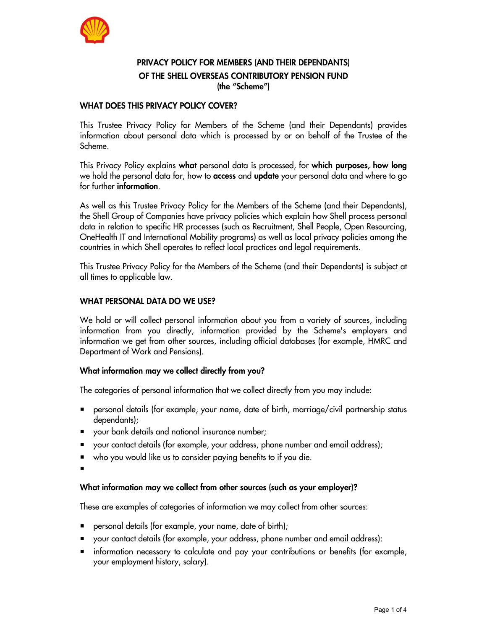

# PRIVACY POLICY FOR MEMBERS (AND THEIR DEPENDANTS) OF THE SHELL OVERSEAS CONTRIBUTORY PENSION FUND (the "Scheme")

### WHAT DOES THIS PRIVACY POLICY COVER?

This Trustee Privacy Policy for Members of the Scheme (and their Dependants) provides information about personal data which is processed by or on behalf of the Trustee of the Scheme.

This Privacy Policy explains what personal data is processed, for which purposes, how long we hold the personal data for, how to **access** and **update** your personal data and where to go

for further **information**.<br>As well as this Trustee Privacy Policy for the Members of the Scheme (and their Dependants), the Shell Group of Companies have privacy policies which explain how Shell process personal data in relation to specific HR processes (such as Recruitment, Shell People, Open Resourcing, OneHealth IT and International Mobility programs) as well as local privacy policies among the countries in which Shell operates to reflect local practices and legal requirements.

This Trustee Privacy Policy for the Members of the Scheme (and their Dependants) is subject at all times to applicable law.

### WHAT PERSONAL DATA DO WE USE?

We hold or will collect personal information about you from a variety of sources, including information from you directly, information provided by the Scheme's employers and information we get from other sources, including official databases (for example, HMRC and Department of Work and Pensions).

#### What information may we collect directly from you?

The categories of personal information that we collect directly from you may include:

- personal details (for example, your name, date of birth, marriage/civil partnership status dependants);
- your bank details and national insurance number;
- your contact details (for example, your address, phone number and email address);
- who you would like us to consider paying benefits to if you die.
- ٠

# What information may we collect from other sources (such as your employer)?

These are examples of categories of information we may collect from other sources:

- personal details (for example, your name, date of birth);
- your contact details (for example, your address, phone number and email address):
- information necessary to calculate and pay your contributions or benefits (for example, your employment history, salary).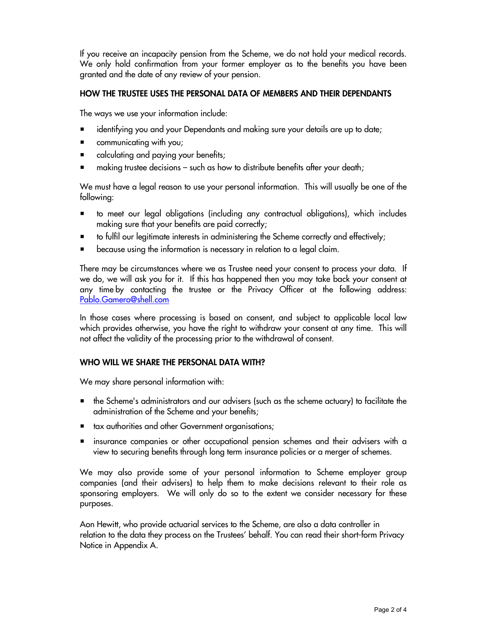If you receive an incapacity pension from the Scheme, we do not hold your medical records. We only hold confirmation from your former employer as to the benefits you have been granted and the date of any review of your pension.

## HOW THE TRUSTEE USES THE PERSONAL DATA OF MEMBERS AND THEIR DEPENDANTS

The ways we use your information include:

- identifying you and your Dependants and making sure your details are up to date;
- communicating with you;
- **E** calculating and paying your benefits;
- making trustee decisions such as how to distribute benefits after your death;

We must have a legal reason to use your personal information. This will usually be one of the following:

- to meet our legal obligations (including any contractual obligations), which includes making sure that your benefits are paid correctly;
- to fulfil our legitimate interests in administering the Scheme correctly and effectively;
- because using the information is necessary in relation to a legal claim.

There may be circumstances where we as Trustee need your consent to process your data. If we do, we will ask you for it. If this has happened then you may take back your consent at any time by contacting the trustee or the Privacy Officer at the following address: Pablo.Gamero@shell.com

In those cases where processing is based on consent, and subject to applicable local law which provides otherwise, you have the right to withdraw your consent at any time. This will not affect the validity of the processing prior to the withdrawal of consent.

# WHO WILL WE SHARE THE PERSONAL DATA WITH?

We may share personal information with:

- $\blacksquare$  the Scheme's administrators and our advisers (such as the scheme actuary) to facilitate the administration of the Scheme and your benefits;
- tax authorities and other Government organisations;
- insurance companies or other occupational pension schemes and their advisers with a view to securing benefits through long term insurance policies or a merger of schemes.

We may also provide some of your personal information to Scheme employer group companies (and their advisers) to help them to make decisions relevant to their role as sponsoring employers. We will only do so to the extent we consider necessary for these purposes.

Aon Hewitt, who provide actuarial services to the Scheme, are also a data controller in relation to the data they process on the Trustees' behalf. You can read their short-form Privacy Notice in Appendix A.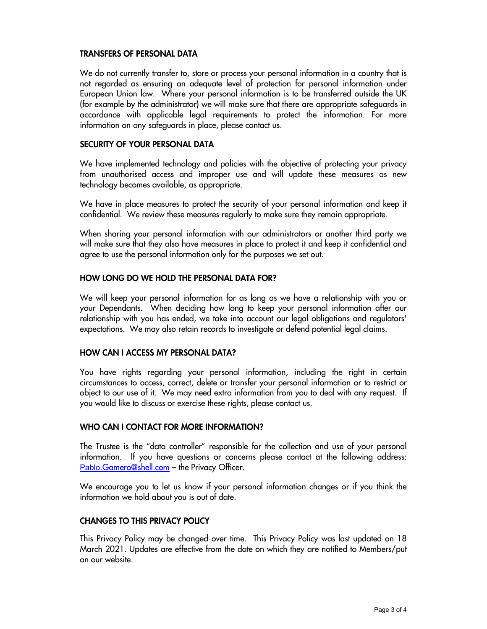## TRANSFERS OF PERSONAL DATA

We do not currently transfer to, store or process your personal information in a country that is not regarded as ensuring an adequate level of protection for personal information under European Union law. Where your personal information is to be transferred outside the UK (for example by the administrator) we will make sure that there are appropriate safeguards in accordance with applicable legal requirements to protect the information. For more information on any safeguards in place, please contact us.

### SECURITY OF YOUR PERSONAL DATA

We have implemented technology and policies with the objective of protecting your privacy from unauthorised access and improper use and will update these measures as new technology becomes available, as appropriate.

We have in place measures to protect the security of your personal information and keep it confidential. We review these measures regularly to make sure they remain appropriate.

When sharing your personal information with our administrators or another third party we will make sure that they also have measures in place to protect it and keep it confidential and agree to use the personal information only for the purposes we set out.

### HOW LONG DO WE HOLD THE PERSONAL DATA FOR?

We will keep your personal information for as long as we have a relationship with you or your Dependants. When deciding how long to keep your personal information after our relationship with you has ended, we take into account our legal obligations and regulators' expectations. We may also retain records to investigate or defend potential legal claims.

# HOW CAN I ACCESS MY PERSONAL DATA?

You have rights regarding your personal information, including the right in certain circumstances to access, correct, delete or transfer your personal information or to restrict or object to our use of it. We may need extra information from you to deal with any request. If you would like to discuss or exercise these rights, please contact us.

#### WHO CAN I CONTACT FOR MORE INFORMATION?

The Trustee is the "data controller" responsible for the collection and use of your personal information. If you have questions or concerns please contact at the following address: Pablo.Gamero@shell.com – the Privacy Officer.

We encourage you to let us know if your personal information changes or if you think the information we hold about you is out of date.

#### CHANGES TO THIS PRIVACY POLICY

This Privacy Policy may be changed over time. This Privacy Policy was last updated on 18 March 2021. Updates are effective from the date on which they are notified to Members/put on our website.